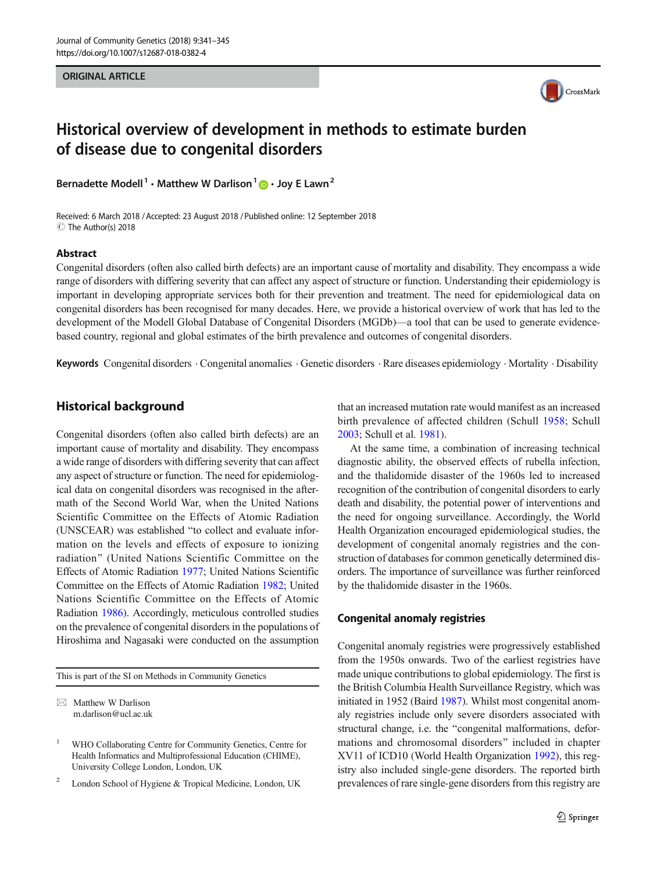#### ORIGINAL ARTICLE



# Historical overview of development in methods to estimate burden of disease due to congenital disorders

Bernadette Modell<sup>1</sup>  $\cdot$  Matthew W Darlison<sup>1</sup>  $\cdot$  Joy E Lawn<sup>2</sup>

Received: 6 March 2018 /Accepted: 23 August 2018 /Published online: 12 September 2018  $\circledcirc$  The Author(s) 2018

## Abstract

Congenital disorders (often also called birth defects) are an important cause of mortality and disability. They encompass a wide range of disorders with differing severity that can affect any aspect of structure or function. Understanding their epidemiology is important in developing appropriate services both for their prevention and treatment. The need for epidemiological data on congenital disorders has been recognised for many decades. Here, we provide a historical overview of work that has led to the development of the Modell Global Database of Congenital Disorders (MGDb)—a tool that can be used to generate evidencebased country, regional and global estimates of the birth prevalence and outcomes of congenital disorders.

Keywords Congenital disorders . Congenital anomalies . Genetic disorders . Rare diseases epidemiology . Mortality . Disability

## Historical background

Congenital disorders (often also called birth defects) are an important cause of mortality and disability. They encompass a wide range of disorders with differing severity that can affect any aspect of structure or function. The need for epidemiological data on congenital disorders was recognised in the aftermath of the Second World War, when the United Nations Scientific Committee on the Effects of Atomic Radiation (UNSCEAR) was established "to collect and evaluate information on the levels and effects of exposure to ionizing radiation" (United Nations Scientific Committee on the Effects of Atomic Radiation [1977](#page-4-0); United Nations Scientific Committee on the Effects of Atomic Radiation [1982](#page-4-0); United Nations Scientific Committee on the Effects of Atomic Radiation [1986\)](#page-4-0). Accordingly, meticulous controlled studies on the prevalence of congenital disorders in the populations of Hiroshima and Nagasaki were conducted on the assumption

This is part of the SI on Methods in Community Genetics

 $\boxtimes$  Matthew W Darlison [m.darlison@ucl.ac.uk](mailto:m.darlison@ucl.ac.uk)

that an increased mutation rate would manifest as an increased birth prevalence of affected children (Schull [1958](#page-4-0); Schull [2003;](#page-4-0) Schull et al. [1981](#page-4-0)).

At the same time, a combination of increasing technical diagnostic ability, the observed effects of rubella infection, and the thalidomide disaster of the 1960s led to increased recognition of the contribution of congenital disorders to early death and disability, the potential power of interventions and the need for ongoing surveillance. Accordingly, the World Health Organization encouraged epidemiological studies, the development of congenital anomaly registries and the construction of databases for common genetically determined disorders. The importance of surveillance was further reinforced by the thalidomide disaster in the 1960s.

## Congenital anomaly registries

Congenital anomaly registries were progressively established from the 1950s onwards. Two of the earliest registries have made unique contributions to global epidemiology. The first is the British Columbia Health Surveillance Registry, which was initiated in 1952 (Baird [1987\)](#page-3-0). Whilst most congenital anomaly registries include only severe disorders associated with structural change, i.e. the "congenital malformations, deformations and chromosomal disorders^ included in chapter XV11 of ICD10 (World Health Organization [1992\)](#page-4-0), this registry also included single-gene disorders. The reported birth prevalences of rare single-gene disorders from this registry are

<sup>&</sup>lt;sup>1</sup> WHO Collaborating Centre for Community Genetics, Centre for Health Informatics and Multiprofessional Education (CHIME), University College London, London, UK

London School of Hygiene & Tropical Medicine, London, UK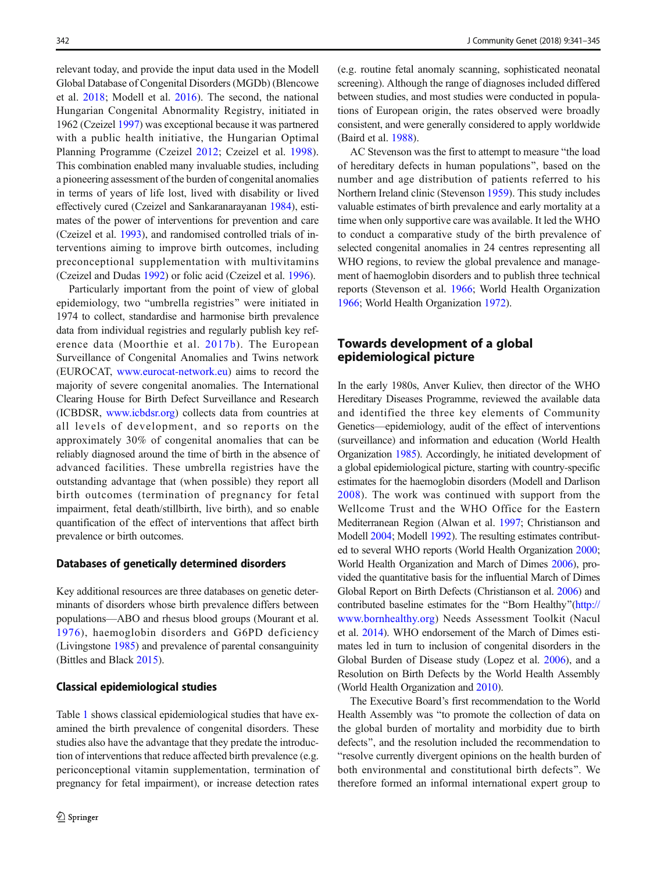relevant today, and provide the input data used in the Modell Global Database of Congenital Disorders (MGDb) (Blencowe et al. [2018](#page-3-0); Modell et al. [2016\)](#page-4-0). The second, the national Hungarian Congenital Abnormality Registry, initiated in 1962 (Czeizel [1997](#page-3-0)) was exceptional because it was partnered with a public health initiative, the Hungarian Optimal Planning Programme (Czeizel [2012](#page-3-0); Czeizel et al. [1998](#page-4-0)). This combination enabled many invaluable studies, including a pioneering assessment of the burden of congenital anomalies in terms of years of life lost, lived with disability or lived effectively cured (Czeizel and Sankaranarayanan [1984](#page-3-0)), estimates of the power of interventions for prevention and care (Czeizel et al. [1993](#page-4-0)), and randomised controlled trials of interventions aiming to improve birth outcomes, including preconceptional supplementation with multivitamins (Czeizel and Dudas [1992\)](#page-4-0) or folic acid (Czeizel et al. [1996\)](#page-4-0).

Particularly important from the point of view of global epidemiology, two "umbrella registries" were initiated in 1974 to collect, standardise and harmonise birth prevalence data from individual registries and regularly publish key reference data (Moorthie et al. [2017b](#page-4-0)). The European Surveillance of Congenital Anomalies and Twins network (EUROCAT, [www.eurocat-network.eu\)](http://www.eurocat-network.eu) aims to record the majority of severe congenital anomalies. The International Clearing House for Birth Defect Surveillance and Research (ICBDSR, [www.icbdsr.org\)](http://www.icbdsr.org) collects data from countries at all levels of development, and so reports on the approximately 30% of congenital anomalies that can be reliably diagnosed around the time of birth in the absence of advanced facilities. These umbrella registries have the outstanding advantage that (when possible) they report all birth outcomes (termination of pregnancy for fetal impairment, fetal death/stillbirth, live birth), and so enable quantification of the effect of interventions that affect birth prevalence or birth outcomes.

## Databases of genetically determined disorders

Key additional resources are three databases on genetic determinants of disorders whose birth prevalence differs between populations—ABO and rhesus blood groups (Mourant et al. [1976](#page-4-0)), haemoglobin disorders and G6PD deficiency (Livingstone [1985\)](#page-4-0) and prevalence of parental consanguinity (Bittles and Black [2015](#page-3-0)).

## Classical epidemiological studies

Table [1](#page-2-0) shows classical epidemiological studies that have examined the birth prevalence of congenital disorders. These studies also have the advantage that they predate the introduction of interventions that reduce affected birth prevalence (e.g. periconceptional vitamin supplementation, termination of pregnancy for fetal impairment), or increase detection rates

(e.g. routine fetal anomaly scanning, sophisticated neonatal screening). Although the range of diagnoses included differed between studies, and most studies were conducted in populations of European origin, the rates observed were broadly consistent, and were generally considered to apply worldwide (Baird et al. [1988](#page-3-0)).

AC Stevenson was the first to attempt to measure "the load of hereditary defects in human populations^, based on the number and age distribution of patients referred to his Northern Ireland clinic (Stevenson [1959](#page-4-0)). This study includes valuable estimates of birth prevalence and early mortality at a time when only supportive care was available. It led the WHO to conduct a comparative study of the birth prevalence of selected congenital anomalies in 24 centres representing all WHO regions, to review the global prevalence and management of haemoglobin disorders and to publish three technical reports (Stevenson et al. [1966](#page-4-0); World Health Organization [1966;](#page-4-0) World Health Organization [1972\)](#page-4-0).

# Towards development of a global epidemiological picture

In the early 1980s, Anver Kuliev, then director of the WHO Hereditary Diseases Programme, reviewed the available data and identified the three key elements of Community Genetics—epidemiology, audit of the effect of interventions (surveillance) and information and education (World Health Organization [1985\)](#page-4-0). Accordingly, he initiated development of a global epidemiological picture, starting with country-specific estimates for the haemoglobin disorders (Modell and Darlison [2008](#page-4-0)). The work was continued with support from the Wellcome Trust and the WHO Office for the Eastern Mediterranean Region (Alwan et al. [1997](#page-3-0); Christianson and Modell [2004](#page-3-0); Modell [1992](#page-4-0)). The resulting estimates contributed to several WHO reports (World Health Organization [2000;](#page-4-0) World Health Organization and March of Dimes [2006](#page-4-0)), provided the quantitative basis for the influential March of Dimes Global Report on Birth Defects (Christianson et al. [2006](#page-3-0)) and contributed baseline estimates for the "Born Healthy"([http://](http://www.bornhealthy.org) [www.bornhealthy.org](http://www.bornhealthy.org)) Needs Assessment Toolkit (Nacul et al. [2014\)](#page-4-0). WHO endorsement of the March of Dimes estimates led in turn to inclusion of congenital disorders in the Global Burden of Disease study (Lopez et al. [2006\)](#page-4-0), and a Resolution on Birth Defects by the World Health Assembly (World Health Organization and [2010](#page-4-0)).

The Executive Board's first recommendation to the World Health Assembly was "to promote the collection of data on the global burden of mortality and morbidity due to birth defects", and the resolution included the recommendation to "resolve currently divergent opinions on the health burden of both environmental and constitutional birth defects^. We therefore formed an informal international expert group to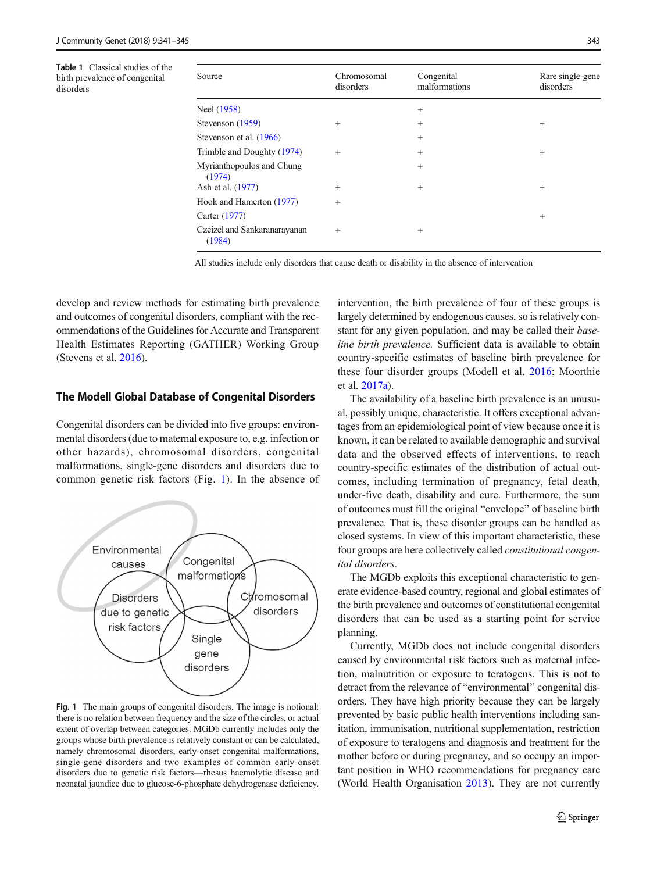<span id="page-2-0"></span>Table 1 Classical studies of the birth prevalence of congenital disorders

| Source                                 | Chromosomal<br>disorders | Congenital<br>malformations | Rare single-gene<br>disorders |
|----------------------------------------|--------------------------|-----------------------------|-------------------------------|
| Neel (1958)                            |                          | $+$                         |                               |
| Stevenson (1959)                       | $+$                      | $+$                         | $^{+}$                        |
| Stevenson et al. (1966)                |                          | $+$                         |                               |
| Trimble and Doughty (1974)             | $+$                      | $+$                         | $^{+}$                        |
| Myrianthopoulos and Chung<br>(1974)    |                          | $+$                         |                               |
| Ash et al. (1977)                      | $+$                      | $+$                         | $^{+}$                        |
| Hook and Hamerton (1977)               | $+$                      |                             |                               |
| Carter (1977)                          |                          |                             | $^{+}$                        |
| Czeizel and Sankaranarayanan<br>(1984) | $+$                      | $+$                         |                               |

All studies include only disorders that cause death or disability in the absence of intervention

develop and review methods for estimating birth prevalence and outcomes of congenital disorders, compliant with the recommendations of the Guidelines for Accurate and Transparent Health Estimates Reporting (GATHER) Working Group (Stevens et al. [2016](#page-4-0)).

#### The Modell Global Database of Congenital Disorders

Congenital disorders can be divided into five groups: environmental disorders (due to maternal exposure to, e.g. infection or other hazards), chromosomal disorders, congenital malformations, single-gene disorders and disorders due to common genetic risk factors (Fig. 1). In the absence of



Fig. 1 The main groups of congenital disorders. The image is notional: there is no relation between frequency and the size of the circles, or actual extent of overlap between categories. MGDb currently includes only the groups whose birth prevalence is relatively constant or can be calculated, namely chromosomal disorders, early-onset congenital malformations, single-gene disorders and two examples of common early-onset disorders due to genetic risk factors—rhesus haemolytic disease and neonatal jaundice due to glucose-6-phosphate dehydrogenase deficiency.

intervention, the birth prevalence of four of these groups is largely determined by endogenous causes, so is relatively constant for any given population, and may be called their baseline birth prevalence. Sufficient data is available to obtain country-specific estimates of baseline birth prevalence for these four disorder groups (Modell et al. [2016](#page-4-0); Moorthie et al. [2017a](#page-4-0)).

The availability of a baseline birth prevalence is an unusual, possibly unique, characteristic. It offers exceptional advantages from an epidemiological point of view because once it is known, it can be related to available demographic and survival data and the observed effects of interventions, to reach country-specific estimates of the distribution of actual outcomes, including termination of pregnancy, fetal death, under-five death, disability and cure. Furthermore, the sum of outcomes must fill the original "envelope" of baseline birth prevalence. That is, these disorder groups can be handled as closed systems. In view of this important characteristic, these four groups are here collectively called constitutional congenital disorders.

The MGDb exploits this exceptional characteristic to generate evidence-based country, regional and global estimates of the birth prevalence and outcomes of constitutional congenital disorders that can be used as a starting point for service planning.

Currently, MGDb does not include congenital disorders caused by environmental risk factors such as maternal infection, malnutrition or exposure to teratogens. This is not to detract from the relevance of "environmental" congenital disorders. They have high priority because they can be largely prevented by basic public health interventions including sanitation, immunisation, nutritional supplementation, restriction of exposure to teratogens and diagnosis and treatment for the mother before or during pregnancy, and so occupy an important position in WHO recommendations for pregnancy care (World Health Organisation [2013\)](#page-4-0). They are not currently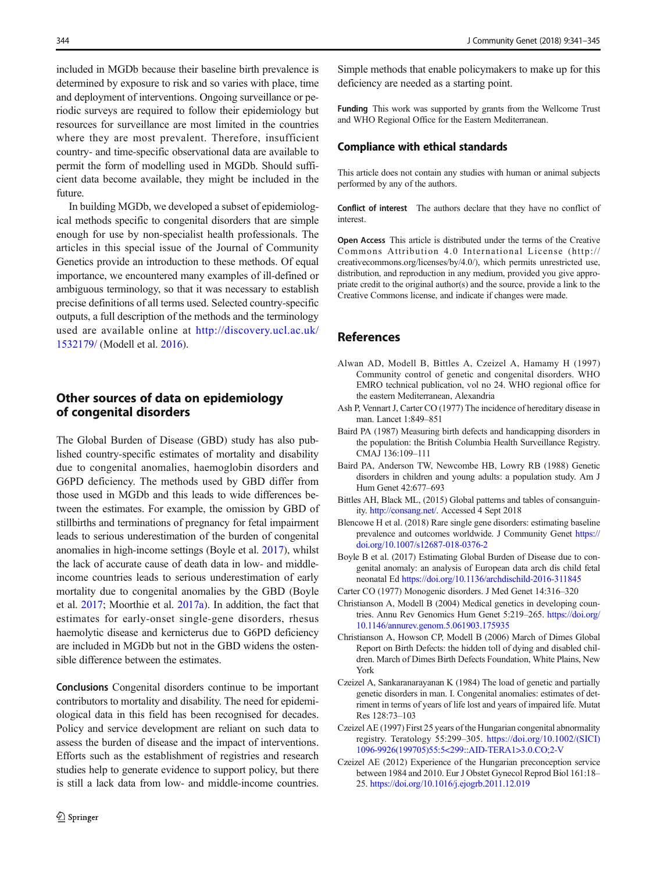<span id="page-3-0"></span>included in MGDb because their baseline birth prevalence is determined by exposure to risk and so varies with place, time and deployment of interventions. Ongoing surveillance or periodic surveys are required to follow their epidemiology but resources for surveillance are most limited in the countries where they are most prevalent. Therefore, insufficient country- and time-specific observational data are available to permit the form of modelling used in MGDb. Should sufficient data become available, they might be included in the future.

In building MGDb, we developed a subset of epidemiological methods specific to congenital disorders that are simple enough for use by non-specialist health professionals. The articles in this special issue of the Journal of Community Genetics provide an introduction to these methods. Of equal importance, we encountered many examples of ill-defined or ambiguous terminology, so that it was necessary to establish precise definitions of all terms used. Selected country-specific outputs, a full description of the methods and the terminology used are available online at [http://discovery.ucl.ac.uk/](http://discovery.ucl.ac.uk/1532179/) [1532179/](http://discovery.ucl.ac.uk/1532179/) (Modell et al. [2016](#page-4-0)).

# Other sources of data on epidemiology of congenital disorders

The Global Burden of Disease (GBD) study has also published country-specific estimates of mortality and disability due to congenital anomalies, haemoglobin disorders and G6PD deficiency. The methods used by GBD differ from those used in MGDb and this leads to wide differences between the estimates. For example, the omission by GBD of stillbirths and terminations of pregnancy for fetal impairment leads to serious underestimation of the burden of congenital anomalies in high-income settings (Boyle et al. 2017), whilst the lack of accurate cause of death data in low- and middleincome countries leads to serious underestimation of early mortality due to congenital anomalies by the GBD (Boyle et al. 2017; Moorthie et al. [2017a\)](#page-4-0). In addition, the fact that estimates for early-onset single-gene disorders, rhesus haemolytic disease and kernicterus due to G6PD deficiency are included in MGDb but not in the GBD widens the ostensible difference between the estimates.

Conclusions Congenital disorders continue to be important contributors to mortality and disability. The need for epidemiological data in this field has been recognised for decades. Policy and service development are reliant on such data to assess the burden of disease and the impact of interventions. Efforts such as the establishment of registries and research studies help to generate evidence to support policy, but there is still a lack data from low- and middle-income countries.

Simple methods that enable policymakers to make up for this deficiency are needed as a starting point.

Funding This work was supported by grants from the Wellcome Trust and WHO Regional Office for the Eastern Mediterranean.

## Compliance with ethical standards

This article does not contain any studies with human or animal subjects performed by any of the authors.

Conflict of interest The authors declare that they have no conflict of interest.

Open Access This article is distributed under the terms of the Creative Commons Attribution 4.0 International License (http:// creativecommons.org/licenses/by/4.0/), which permits unrestricted use, distribution, and reproduction in any medium, provided you give appropriate credit to the original author(s) and the source, provide a link to the Creative Commons license, and indicate if changes were made.

# **References**

- Alwan AD, Modell B, Bittles A, Czeizel A, Hamamy H (1997) Community control of genetic and congenital disorders. WHO EMRO technical publication, vol no 24. WHO regional office for the eastern Mediterranean, Alexandria
- Ash P, Vennart J, Carter CO (1977) The incidence of hereditary disease in man. Lancet 1:849–851
- Baird PA (1987) Measuring birth defects and handicapping disorders in the population: the British Columbia Health Surveillance Registry. CMAJ 136:109–111
- Baird PA, Anderson TW, Newcombe HB, Lowry RB (1988) Genetic disorders in children and young adults: a population study. Am J Hum Genet 42:677–693
- Bittles AH, Black ML, (2015) Global patterns and tables of consanguinity. [http://consang.net/.](http://consang.net/) Accessed 4 Sept 2018
- Blencowe H et al. (2018) Rare single gene disorders: estimating baseline prevalence and outcomes worldwide. J Community Genet [https://](https://doi.org/10.1007/s12687-018-0376-2) [doi.org/10.1007/s12687-018-0376-2](https://doi.org/10.1007/s12687-018-0376-2)
- Boyle B et al. (2017) Estimating Global Burden of Disease due to congenital anomaly: an analysis of European data arch dis child fetal neonatal Ed <https://doi.org/10.1136/archdischild-2016-311845>
- Carter CO (1977) Monogenic disorders. J Med Genet 14:316–320
- Christianson A, Modell B (2004) Medical genetics in developing countries. Annu Rev Genomics Hum Genet 5:219–265. [https://doi.org/](https://doi.org/10.1146/annurev.genom.5.061903.175935) [10.1146/annurev.genom.5.061903.175935](https://doi.org/10.1146/annurev.genom.5.061903.175935)
- Christianson A, Howson CP, Modell B (2006) March of Dimes Global Report on Birth Defects: the hidden toll of dying and disabled children. March of Dimes Birth Defects Foundation, White Plains, New York
- Czeizel A, Sankaranarayanan K (1984) The load of genetic and partially genetic disorders in man. I. Congenital anomalies: estimates of detriment in terms of years of life lost and years of impaired life. Mutat Res 128:73–103
- Czeizel AE (1997) First 25 years of the Hungarian congenital abnormality registry. Teratology 55:299–305. [https://doi.org/10.1002/\(SICI\)](https://doi.org/10.1002/(SICI)1096-9926(199705)55:5<299::AID-TERA1>3.0.CO;2-V) [1096-9926\(199705\)55:5<299::AID-TERA1>3.0.CO;2-V](https://doi.org/10.1002/(SICI)1096-9926(199705)55:5<299::AID-TERA1>3.0.CO;2-V)
- Czeizel AE (2012) Experience of the Hungarian preconception service between 1984 and 2010. Eur J Obstet Gynecol Reprod Biol 161:18– 25. <https://doi.org/10.1016/j.ejogrb.2011.12.019>